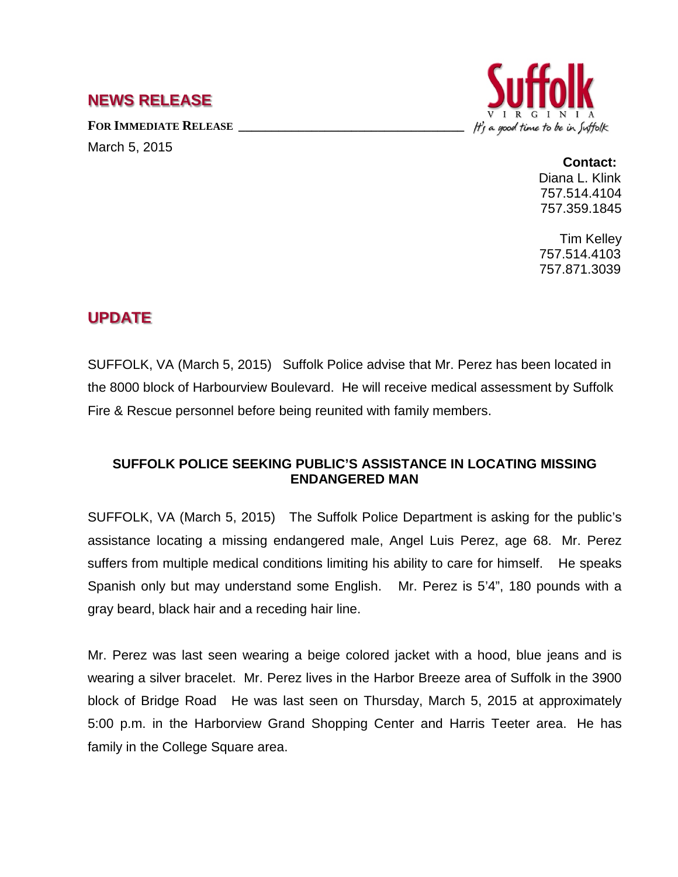## **NEWS RELEASE**

FOR IMMEDIATE RELEASE

March 5, 2015



## **Contact:** Diana L. Klink 757.514.4104 757.359.1845

Tim Kelley 757.514.4103 757.871.3039

## **UPDATE**

SUFFOLK, VA (March 5, 2015) Suffolk Police advise that Mr. Perez has been located in the 8000 block of Harbourview Boulevard. He will receive medical assessment by Suffolk Fire & Rescue personnel before being reunited with family members.

## **SUFFOLK POLICE SEEKING PUBLIC'S ASSISTANCE IN LOCATING MISSING ENDANGERED MAN**

SUFFOLK, VA (March 5, 2015) The Suffolk Police Department is asking for the public's assistance locating a missing endangered male, Angel Luis Perez, age 68. Mr. Perez suffers from multiple medical conditions limiting his ability to care for himself. He speaks Spanish only but may understand some English. Mr. Perez is 5'4", 180 pounds with a gray beard, black hair and a receding hair line.

Mr. Perez was last seen wearing a beige colored jacket with a hood, blue jeans and is wearing a silver bracelet. Mr. Perez lives in the Harbor Breeze area of Suffolk in the 3900 block of Bridge Road He was last seen on Thursday, March 5, 2015 at approximately 5:00 p.m. in the Harborview Grand Shopping Center and Harris Teeter area. He has family in the College Square area.